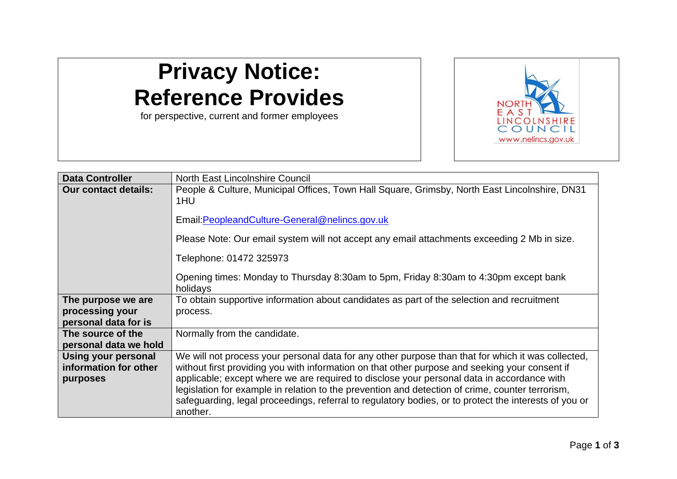## **Privacy Notice: Reference Provides**

for perspective, current and former employees



| <b>Data Controller</b>      | North East Lincolnshire Council                                                                                                                                                                           |
|-----------------------------|-----------------------------------------------------------------------------------------------------------------------------------------------------------------------------------------------------------|
| <b>Our contact details:</b> | People & Culture, Municipal Offices, Town Hall Square, Grimsby, North East Lincolnshire, DN31<br>1HU                                                                                                      |
|                             | Email: Peopleand Culture-General@nelincs.gov.uk                                                                                                                                                           |
|                             | Please Note: Our email system will not accept any email attachments exceeding 2 Mb in size.                                                                                                               |
|                             | Telephone: 01472 325973                                                                                                                                                                                   |
|                             | Opening times: Monday to Thursday 8:30am to 5pm, Friday 8:30am to 4:30pm except bank<br>holidays                                                                                                          |
| The purpose we are          | To obtain supportive information about candidates as part of the selection and recruitment                                                                                                                |
| processing your             | process.                                                                                                                                                                                                  |
| personal data for is        |                                                                                                                                                                                                           |
| The source of the           | Normally from the candidate.                                                                                                                                                                              |
| personal data we hold       |                                                                                                                                                                                                           |
| Using your personal         | We will not process your personal data for any other purpose than that for which it was collected,                                                                                                        |
| information for other       | without first providing you with information on that other purpose and seeking your consent if                                                                                                            |
| purposes                    | applicable; except where we are required to disclose your personal data in accordance with                                                                                                                |
|                             | legislation for example in relation to the prevention and detection of crime, counter terrorism,<br>safeguarding, legal proceedings, referral to regulatory bodies, or to protect the interests of you or |
|                             | another.                                                                                                                                                                                                  |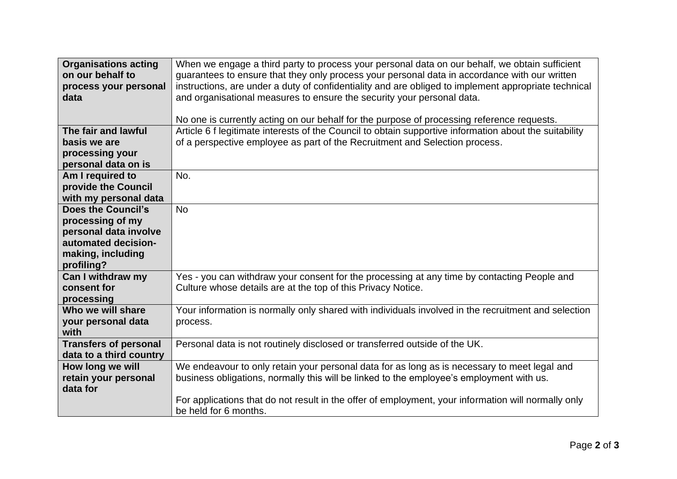| <b>Organisations acting</b>  | When we engage a third party to process your personal data on our behalf, we obtain sufficient         |
|------------------------------|--------------------------------------------------------------------------------------------------------|
| on our behalf to             | guarantees to ensure that they only process your personal data in accordance with our written          |
| process your personal        | instructions, are under a duty of confidentiality and are obliged to implement appropriate technical   |
| data                         | and organisational measures to ensure the security your personal data.                                 |
|                              |                                                                                                        |
|                              | No one is currently acting on our behalf for the purpose of processing reference requests.             |
| The fair and lawful          | Article 6 f legitimate interests of the Council to obtain supportive information about the suitability |
| basis we are                 | of a perspective employee as part of the Recruitment and Selection process.                            |
| processing your              |                                                                                                        |
| personal data on is          |                                                                                                        |
| Am I required to             | No.                                                                                                    |
| provide the Council          |                                                                                                        |
| with my personal data        |                                                                                                        |
| <b>Does the Council's</b>    | <b>No</b>                                                                                              |
| processing of my             |                                                                                                        |
| personal data involve        |                                                                                                        |
| automated decision-          |                                                                                                        |
| making, including            |                                                                                                        |
| profiling?                   |                                                                                                        |
| Can I withdraw my            | Yes - you can withdraw your consent for the processing at any time by contacting People and            |
| consent for                  | Culture whose details are at the top of this Privacy Notice.                                           |
| processing                   |                                                                                                        |
| Who we will share            | Your information is normally only shared with individuals involved in the recruitment and selection    |
| your personal data           | process.                                                                                               |
| with                         |                                                                                                        |
| <b>Transfers of personal</b> | Personal data is not routinely disclosed or transferred outside of the UK.                             |
| data to a third country      |                                                                                                        |
| How long we will             | We endeavour to only retain your personal data for as long as is necessary to meet legal and           |
| retain your personal         | business obligations, normally this will be linked to the employee's employment with us.               |
| data for                     |                                                                                                        |
|                              | For applications that do not result in the offer of employment, your information will normally only    |
|                              | be held for 6 months.                                                                                  |